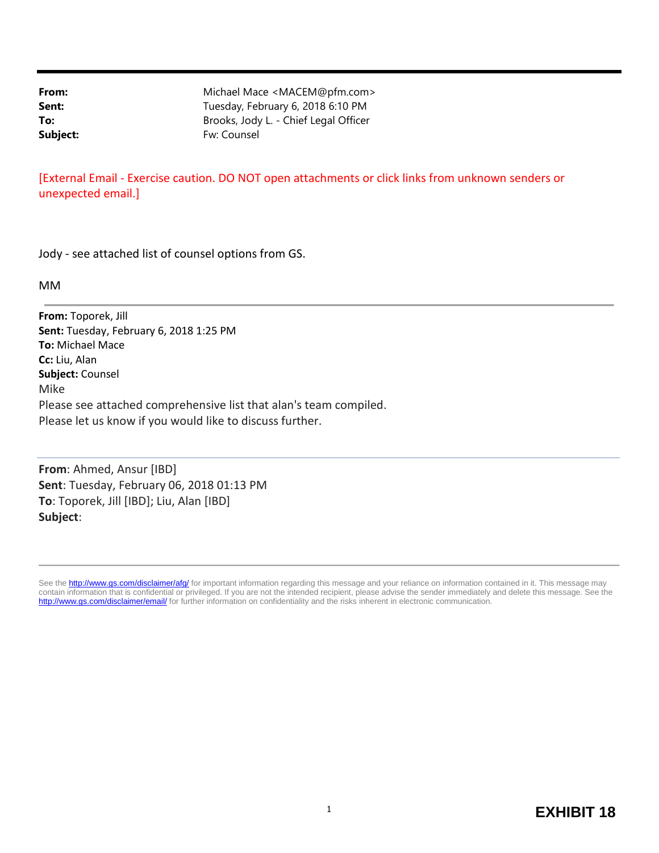**From:** Michael Mace <MACEM@pfm.com> Sent: Sent: Tuesday, February 6, 2018 6:10 PM **To:** Brooks, Jody L. - Chief Legal Officer Subject: Fw: Counsel

[External Email - Exercise caution. DO NOT open attachments or click links from unknown senders or unexpected email.]

Jody - see attached list of counsel options from GS.

MM

**From:** Toporek, Jill **Sent:** Tuesday, February 6, 2018 1:25 PM **To:** Michael Mace **Cc:** Liu, Alan **Subject:** Counsel Mike Please see attached comprehensive list that alan's team compiled. Please let us know if you would like to discuss further.

**From**: Ahmed, Ansur [IBD] **Sent**: Tuesday, February 06, 2018 01:13 PM **To**: Toporek, Jill [IBD]; Liu, Alan [IBD] **Subject**:

See the http://www.gs.com/disclaimer/afg/ for important information regarding this message and your reliance on information contained in it. This message may contain information that is confidential or privileged. If you are not the intended recipient, please advise the sender immediately and delete this message. See the http://www.gs.com/disclaimer/email/ for further information on confidentiality and the risks inherent in electronic communication.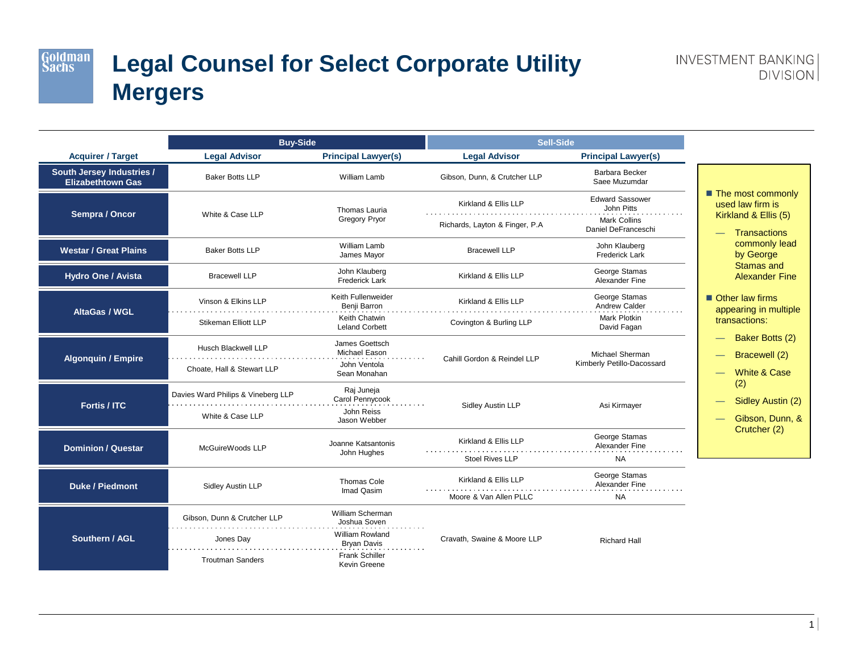Goldman<br>Sachs

## **Legal Counsel for Select Corporate Utility Mergers**

|                                                       | <b>Buy-Side</b>                                                     |                                                                                                                    | <b>Sell-Side</b>                                       |                                                                                    |                                                                                        |  |
|-------------------------------------------------------|---------------------------------------------------------------------|--------------------------------------------------------------------------------------------------------------------|--------------------------------------------------------|------------------------------------------------------------------------------------|----------------------------------------------------------------------------------------|--|
| <b>Acquirer / Target</b>                              | <b>Legal Advisor</b>                                                | <b>Principal Lawyer(s)</b>                                                                                         | <b>Legal Advisor</b>                                   | <b>Principal Lawyer(s)</b>                                                         |                                                                                        |  |
| South Jersey Industries /<br><b>Elizabethtown Gas</b> | <b>Baker Botts LLP</b>                                              | William Lamb                                                                                                       | Gibson, Dunn, & Crutcher LLP                           | Barbara Becker<br>Saee Muzumdar                                                    |                                                                                        |  |
| Sempra / Oncor                                        | White & Case LLP                                                    | Thomas Lauria<br><b>Gregory Pryor</b>                                                                              | Kirkland & Ellis LLP<br>Richards, Layton & Finger, P.A | <b>Edward Sassower</b><br>John Pitts<br><b>Mark Collins</b><br>Daniel DeFranceschi | ■ The most commonly<br>used law firm is<br>Kirkland & Ellis (5)<br><b>Transactions</b> |  |
| <b>Westar / Great Plains</b>                          | <b>Baker Botts LLP</b>                                              | William Lamb<br>James Mayor                                                                                        | <b>Bracewell LLP</b>                                   | John Klauberg<br><b>Frederick Lark</b>                                             | commonly lead<br>by George                                                             |  |
| <b>Hydro One / Avista</b>                             | <b>Bracewell LLP</b>                                                | John Klauberg<br><b>Frederick Lark</b>                                                                             | Kirkland & Ellis LLP                                   | George Stamas<br>Alexander Fine                                                    | <b>Stamas and</b><br><b>Alexander Fine</b>                                             |  |
| <b>AltaGas / WGL</b>                                  | Vinson & Elkins LLP                                                 | Keith Fullenweider<br>Benji Barron                                                                                 | Kirkland & Ellis LLP                                   | George Stamas<br>Andrew Calder                                                     | $\blacksquare$ Other law firms<br>appearing in multiple<br>transactions:               |  |
|                                                       | <b>Stikeman Elliott LLP</b>                                         | Keith Chatwin<br><b>Leland Corbett</b>                                                                             | Covington & Burling LLP                                | Mark Plotkin<br>David Fagan                                                        |                                                                                        |  |
| <b>Algonquin / Empire</b>                             | Husch Blackwell LLP<br>Choate, Hall & Stewart LLP                   | James Goettsch<br>Michael Eason<br>John Ventola<br>Sean Monahan                                                    | Cahill Gordon & Reindel LLP                            | Michael Sherman<br>Kimberly Petillo-Dacossard                                      | Baker Botts (2)<br>Bracewell (2)<br><b>White &amp; Case</b>                            |  |
| Fortis / ITC                                          | Davies Ward Philips & Vineberg LLP<br>White & Case LLP              | Raj Juneja<br>Carol Pennycook<br>John Reiss<br>Jason Webber                                                        | Sidley Austin LLP                                      | Asi Kirmayer                                                                       | (2)<br>Sidley Austin (2)<br>Gibson, Dunn, &                                            |  |
| <b>Dominion / Questar</b>                             | McGuireWoods LLP                                                    | Joanne Katsantonis<br>John Hughes                                                                                  | Kirkland & Ellis LLP<br><b>Stoel Rives LLP</b>         | George Stamas<br>Alexander Fine<br><b>NA</b>                                       | Crutcher (2)                                                                           |  |
| <b>Duke / Piedmont</b>                                | Sidley Austin LLP                                                   | Thomas Cole<br>Imad Qasim                                                                                          | Kirkland & Ellis LLP<br>Moore & Van Allen PLLC         | George Stamas<br>Alexander Fine<br><b>NA</b>                                       |                                                                                        |  |
| Southern / AGL                                        | Gibson, Dunn & Crutcher LLP<br>Jones Day<br><b>Troutman Sanders</b> | William Scherman<br>Joshua Soven<br>William Rowland<br><b>Bryan Davis</b><br><b>Frank Schiller</b><br>Kevin Greene | Cravath, Swaine & Moore LLP                            | <b>Richard Hall</b>                                                                |                                                                                        |  |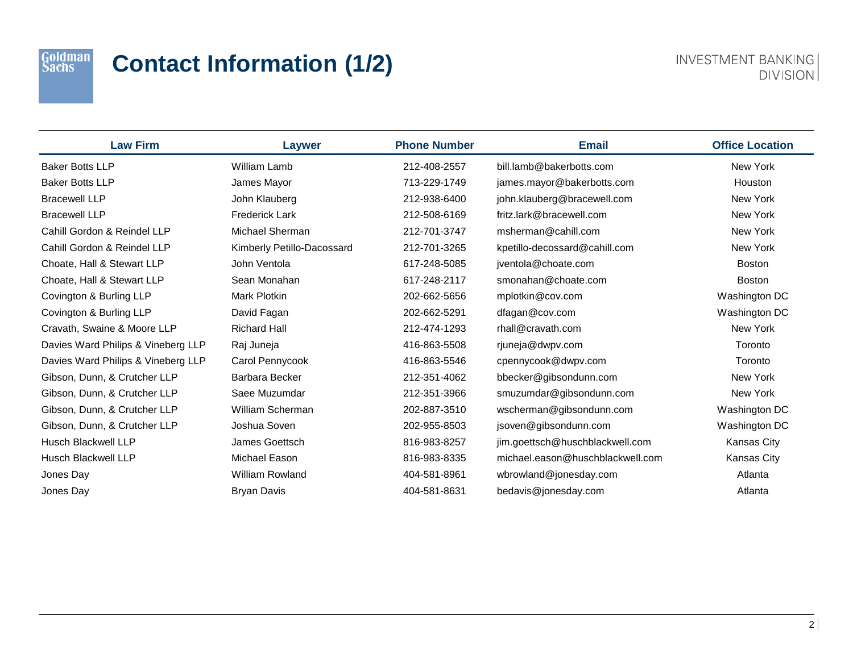### Goldman<br>Sachs

# **Contact Information (1/2)**

| <b>Law Firm</b>                    | Laywer                     | <b>Phone Number</b> | <b>Email</b>                     | <b>Office Location</b> |
|------------------------------------|----------------------------|---------------------|----------------------------------|------------------------|
| <b>Baker Botts LLP</b>             | <b>William Lamb</b>        | 212-408-2557        | bill.lamb@bakerbotts.com         | New York               |
| <b>Baker Botts LLP</b>             | James Mayor                | 713-229-1749        | james.mayor@bakerbotts.com       | Houston                |
| <b>Bracewell LLP</b>               | John Klauberg              | 212-938-6400        | john.klauberg@bracewell.com      | New York               |
| <b>Bracewell LLP</b>               | <b>Frederick Lark</b>      | 212-508-6169        | fritz.lark@bracewell.com         | New York               |
| Cahill Gordon & Reindel LLP        | Michael Sherman            | 212-701-3747        | msherman@cahill.com              | New York               |
| Cahill Gordon & Reindel LLP        | Kimberly Petillo-Dacossard | 212-701-3265        | kpetillo-decossard@cahill.com    | New York               |
| Choate, Hall & Stewart LLP         | John Ventola               | 617-248-5085        | jventola@choate.com              | <b>Boston</b>          |
| Choate, Hall & Stewart LLP         | Sean Monahan               | 617-248-2117        | smonahan@choate.com              | <b>Boston</b>          |
| Covington & Burling LLP            | <b>Mark Plotkin</b>        | 202-662-5656        | mplotkin@cov.com                 | Washington DC          |
| Covington & Burling LLP            | David Fagan                | 202-662-5291        | dfagan@cov.com                   | Washington DC          |
| Cravath, Swaine & Moore LLP        | <b>Richard Hall</b>        | 212-474-1293        | rhall@cravath.com                | New York               |
| Davies Ward Philips & Vineberg LLP | Raj Juneja                 | 416-863-5508        | rjuneja@dwpv.com                 | Toronto                |
| Davies Ward Philips & Vineberg LLP | Carol Pennycook            | 416-863-5546        | cpennycook@dwpv.com              | Toronto                |
| Gibson, Dunn, & Crutcher LLP       | Barbara Becker             | 212-351-4062        | bbecker@gibsondunn.com           | New York               |
| Gibson, Dunn, & Crutcher LLP       | Saee Muzumdar              | 212-351-3966        | smuzumdar@gibsondunn.com         | New York               |
| Gibson, Dunn, & Crutcher LLP       | William Scherman           | 202-887-3510        | wscherman@gibsondunn.com         | Washington DC          |
| Gibson, Dunn, & Crutcher LLP       | Joshua Soven               | 202-955-8503        | jsoven@gibsondunn.com            | Washington DC          |
| <b>Husch Blackwell LLP</b>         | James Goettsch             | 816-983-8257        | jim.goettsch@huschblackwell.com  | Kansas City            |
| <b>Husch Blackwell LLP</b>         | Michael Eason              | 816-983-8335        | michael.eason@huschblackwell.com | Kansas City            |
| Jones Day                          | <b>William Rowland</b>     | 404-581-8961        | wbrowland@jonesday.com           | Atlanta                |
| Jones Day                          | <b>Bryan Davis</b>         | 404-581-8631        | bedavis@jonesday.com             | Atlanta                |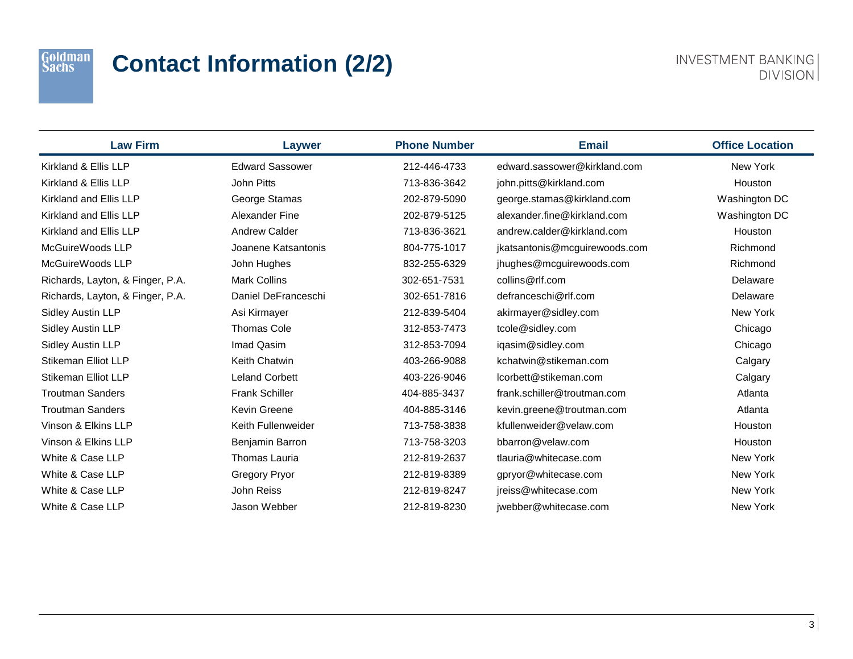### Goldman<br>Sachs

# **Contact Information (2/2)**

| <b>Law Firm</b>                  | Laywer                 | <b>Phone Number</b> | <b>Email</b>                  | <b>Office Location</b> |
|----------------------------------|------------------------|---------------------|-------------------------------|------------------------|
| Kirkland & Ellis LLP             | <b>Edward Sassower</b> | 212-446-4733        | edward.sassower@kirkland.com  | New York               |
| Kirkland & Ellis LLP             | John Pitts             | 713-836-3642        | john.pitts@kirkland.com       | Houston                |
| Kirkland and Ellis LLP           | George Stamas          | 202-879-5090        | george.stamas@kirkland.com    | Washington DC          |
| Kirkland and Ellis LLP           | Alexander Fine         | 202-879-5125        | alexander.fine@kirkland.com   | Washington DC          |
| Kirkland and Ellis LLP           | <b>Andrew Calder</b>   | 713-836-3621        | andrew.calder@kirkland.com    | Houston                |
| McGuireWoods LLP                 | Joanene Katsantonis    | 804-775-1017        | jkatsantonis@mcguirewoods.com | Richmond               |
| McGuireWoods LLP                 | John Hughes            | 832-255-6329        | jhughes@mcguirewoods.com      | Richmond               |
| Richards, Layton, & Finger, P.A. | <b>Mark Collins</b>    | 302-651-7531        | collins@rlf.com               | Delaware               |
| Richards, Layton, & Finger, P.A. | Daniel DeFranceschi    | 302-651-7816        | defranceschi@rlf.com          | Delaware               |
| <b>Sidley Austin LLP</b>         | Asi Kirmayer           | 212-839-5404        | akirmayer@sidley.com          | New York               |
| <b>Sidley Austin LLP</b>         | <b>Thomas Cole</b>     | 312-853-7473        | tcole@sidley.com              | Chicago                |
| Sidley Austin LLP                | Imad Qasim             | 312-853-7094        | iqasim@sidley.com             | Chicago                |
| <b>Stikeman Elliot LLP</b>       | Keith Chatwin          | 403-266-9088        | kchatwin@stikeman.com         | Calgary                |
| Stikeman Elliot LLP              | <b>Leland Corbett</b>  | 403-226-9046        | lcorbett@stikeman.com         | Calgary                |
| <b>Troutman Sanders</b>          | <b>Frank Schiller</b>  | 404-885-3437        | frank.schiller@troutman.com   | Atlanta                |
| <b>Troutman Sanders</b>          | <b>Kevin Greene</b>    | 404-885-3146        | kevin.greene@troutman.com     | Atlanta                |
| Vinson & Elkins LLP              | Keith Fullenweider     | 713-758-3838        | kfullenweider@velaw.com       | Houston                |
| Vinson & Elkins LLP              | Benjamin Barron        | 713-758-3203        | bbarron@velaw.com             | Houston                |
| White & Case LLP                 | Thomas Lauria          | 212-819-2637        | tlauria@whitecase.com         | New York               |
| White & Case LLP                 | <b>Gregory Pryor</b>   | 212-819-8389        | gpryor@whitecase.com          | New York               |
| White & Case LLP                 | <b>John Reiss</b>      | 212-819-8247        | jreiss@whitecase.com          | New York               |
| White & Case LLP                 | Jason Webber           | 212-819-8230        | jwebber@whitecase.com         | New York               |